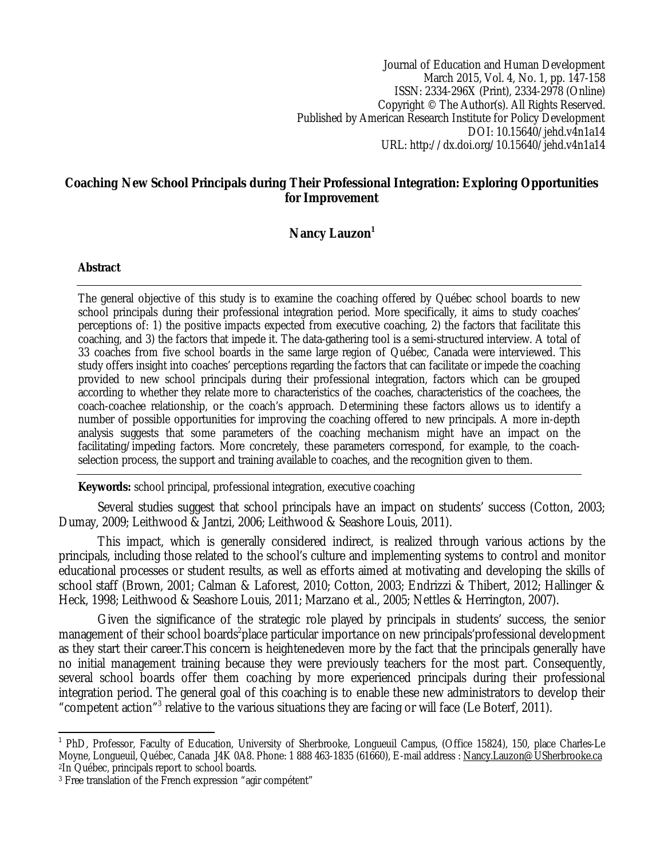Journal of Education and Human Development March 2015, Vol. 4, No. 1, pp. 147-158 ISSN: 2334-296X (Print), 2334-2978 (Online) Copyright © The Author(s). All Rights Reserved. Published by American Research Institute for Policy Development DOI: 10.15640/jehd.v4n1a14 URL: http://dx.doi.org/10.15640/jehd.v4n1a14

### **Coaching New School Principals during Their Professional Integration: Exploring Opportunities for Improvement**

## **Nancy Lauzon<sup>1</sup>**

#### **Abstract**

The general objective of this study is to examine the coaching offered by Québec school boards to new school principals during their professional integration period. More specifically, it aims to study coaches' perceptions of: 1) the positive impacts expected from executive coaching, 2) the factors that facilitate this coaching, and 3) the factors that impede it. The data-gathering tool is a semi-structured interview. A total of 33 coaches from five school boards in the same large region of Québec, Canada were interviewed. This study offers insight into coaches' perceptions regarding the factors that can facilitate or impede the coaching provided to new school principals during their professional integration, factors which can be grouped according to whether they relate more to characteristics of the coaches, characteristics of the coachees, the coach-coachee relationship, or the coach's approach. Determining these factors allows us to identify a number of possible opportunities for improving the coaching offered to new principals. A more in-depth analysis suggests that some parameters of the coaching mechanism might have an impact on the facilitating/impeding factors. More concretely, these parameters correspond, for example, to the coachselection process, the support and training available to coaches, and the recognition given to them.

**Keywords:** school principal, professional integration, executive coaching

Several studies suggest that school principals have an impact on students' success (Cotton, 2003; Dumay, 2009; Leithwood & Jantzi, 2006; Leithwood & Seashore Louis, 2011).

This impact, which is generally considered indirect, is realized through various actions by the principals, including those related to the school's culture and implementing systems to control and monitor educational processes or student results, as well as efforts aimed at motivating and developing the skills of school staff (Brown, 2001; Calman & Laforest, 2010; Cotton, 2003; Endrizzi & Thibert, 2012; Hallinger & Heck, 1998; Leithwood & Seashore Louis, 2011; Marzano et al., 2005; Nettles & Herrington, 2007).

Given the significance of the strategic role played by principals in students' success, the senior management of their school boards<sup>2</sup>place particular importance on new principals'professional development as they start their career.This concern is heightenedeven more by the fact that the principals generally have no initial management training because they were previously teachers for the most part. Consequently, several school boards offer them coaching by more experienced principals during their professional integration period. The general goal of this coaching is to enable these new administrators to develop their "competent action"<sup>3</sup> relative to the various situations they are facing or will face (Le Boterf, 2011).

 $\overline{\phantom{a}}$ <sup>1</sup> PhD, Professor, Faculty of Education, University of Sherbrooke, Longueuil Campus, (Office 15824), 150, place Charles-Le Moyne, Longueuil, Québec, Canada J4K 0A8. Phone: 1 888 463-1835 (61660), E-mail address : Nancy.Lauzon@USherbrooke.ca <sup>2</sup>In Québec, principals report to school boards.

<sup>&</sup>lt;sup>3</sup> Free translation of the French expression "agir compétent"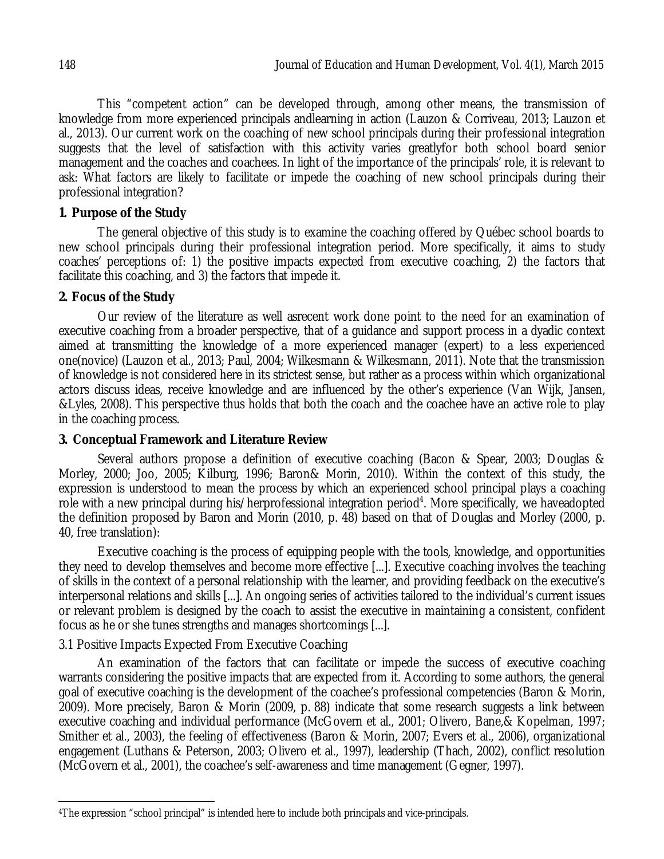This "competent action" can be developed through, among other means, the transmission of knowledge from more experienced principals andlearning in action (Lauzon & Corriveau, 2013; Lauzon et al., 2013). Our current work on the coaching of new school principals during their professional integration suggests that the level of satisfaction with this activity varies greatlyfor both school board senior management and the coaches and coachees. In light of the importance of the principals' role, it is relevant to ask: What factors are likely to facilitate or impede the coaching of new school principals during their professional integration?

## **1. Purpose of the Study**

The general objective of this study is to examine the coaching offered by Québec school boards to new school principals during their professional integration period. More specifically, it aims to study coaches' perceptions of: 1) the positive impacts expected from executive coaching, 2) the factors that facilitate this coaching, and 3) the factors that impede it.

## **2. Focus of the Study**

Our review of the literature as well asrecent work done point to the need for an examination of executive coaching from a broader perspective, that of a guidance and support process in a dyadic context aimed at transmitting the knowledge of a more experienced manager (expert) to a less experienced one(novice) (Lauzon et al., 2013; Paul, 2004; Wilkesmann & Wilkesmann, 2011). Note that the transmission of knowledge is not considered here in its strictest sense, but rather as a process within which organizational actors discuss ideas, receive knowledge and are influenced by the other's experience (Van Wijk, Jansen, &Lyles, 2008). This perspective thus holds that both the coach and the coachee have an active role to play in the coaching process.

## **3. Conceptual Framework and Literature Review**

Several authors propose a definition of executive coaching (Bacon & Spear, 2003; Douglas & Morley, 2000; Joo, 2005; Kilburg, 1996; Baron& Morin, 2010). Within the context of this study, the expression is understood to mean the process by which an experienced school principal plays a coaching role with a new principal during his/herprofessional integration period<sup>4</sup>. More specifically, we haveadopted the definition proposed by Baron and Morin (2010, p. 48) based on that of Douglas and Morley (2000, p. 40, free translation):

Executive coaching is the process of equipping people with the tools, knowledge, and opportunities they need to develop themselves and become more effective [...]. Executive coaching involves the teaching of skills in the context of a personal relationship with the learner, and providing feedback on the executive's interpersonal relations and skills [...]. An ongoing series of activities tailored to the individual's current issues or relevant problem is designed by the coach to assist the executive in maintaining a consistent, confident focus as he or she tunes strengths and manages shortcomings [...].

# 3.1 Positive Impacts Expected From Executive Coaching

An examination of the factors that can facilitate or impede the success of executive coaching warrants considering the positive impacts that are expected from it. According to some authors, the general goal of executive coaching is the development of the coachee's professional competencies (Baron & Morin, 2009). More precisely, Baron & Morin (2009, p. 88) indicate that some research suggests a link between executive coaching and individual performance (McGovern et al., 2001; Olivero, Bane, & Kopelman, 1997; Smither et al., 2003), the feeling of effectiveness (Baron & Morin, 2007; Evers et al., 2006), organizational engagement (Luthans & Peterson, 2003; Olivero et al., 1997), leadership (Thach, 2002), conflict resolution (McGovern et al., 2001), the coachee's self-awareness and time management (Gegner, 1997).

 $\overline{\phantom{a}}$ 4The expression "school principal" is intended here to include both principals and vice-principals.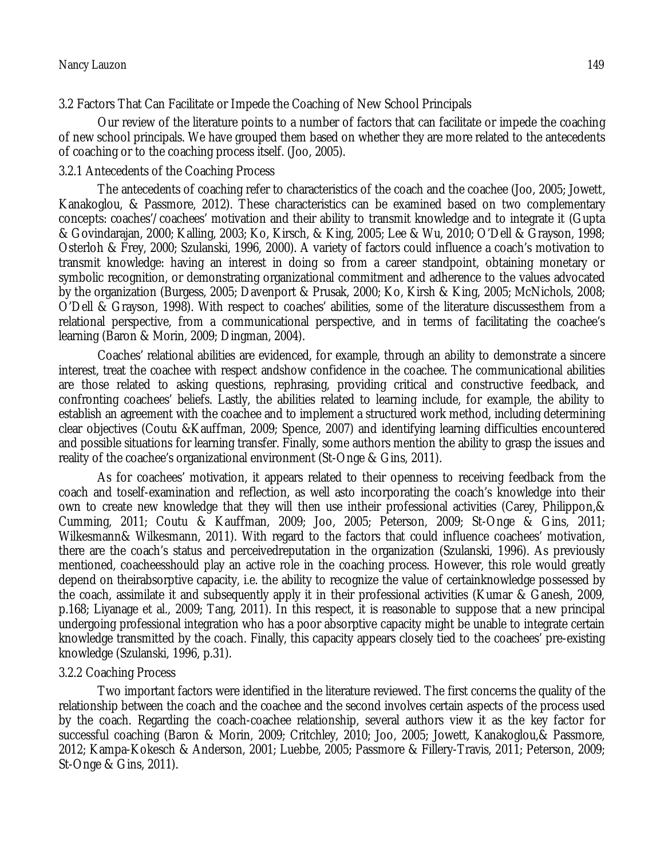### 3.2 Factors That Can Facilitate or Impede the Coaching of New School Principals

Our review of the literature points to a number of factors that can facilitate or impede the coaching of new school principals. We have grouped them based on whether they are more related to the antecedents of coaching or to the coaching process itself. (Joo, 2005).

#### 3.2.1 Antecedents of the Coaching Process

The antecedents of coaching refer to characteristics of the coach and the coachee (Joo, 2005; Jowett, Kanakoglou, & Passmore, 2012). These characteristics can be examined based on two complementary concepts: coaches'/coachees' motivation and their ability to transmit knowledge and to integrate it (Gupta & Govindarajan, 2000; Kalling, 2003; Ko, Kirsch, & King, 2005; Lee & Wu, 2010; O'Dell & Grayson, 1998; Osterloh & Frey, 2000; Szulanski, 1996, 2000). A variety of factors could influence a coach's motivation to transmit knowledge: having an interest in doing so from a career standpoint, obtaining monetary or symbolic recognition, or demonstrating organizational commitment and adherence to the values advocated by the organization (Burgess, 2005; Davenport & Prusak, 2000; Ko, Kirsh & King, 2005; McNichols, 2008; O'Dell & Grayson, 1998). With respect to coaches' abilities, some of the literature discussesthem from a relational perspective, from a communicational perspective, and in terms of facilitating the coachee's learning (Baron & Morin, 2009; Dingman, 2004).

Coaches' relational abilities are evidenced, for example, through an ability to demonstrate a sincere interest, treat the coachee with respect andshow confidence in the coachee. The communicational abilities are those related to asking questions, rephrasing, providing critical and constructive feedback, and confronting coachees' beliefs. Lastly, the abilities related to learning include, for example, the ability to establish an agreement with the coachee and to implement a structured work method, including determining clear objectives (Coutu &Kauffman, 2009; Spence, 2007) and identifying learning difficulties encountered and possible situations for learning transfer. Finally, some authors mention the ability to grasp the issues and reality of the coachee's organizational environment (St-Onge & Gins, 2011).

As for coachees' motivation, it appears related to their openness to receiving feedback from the coach and toself-examination and reflection, as well asto incorporating the coach's knowledge into their own to create new knowledge that they will then use intheir professional activities (Carey, Philippon,& Cumming, 2011; Coutu & Kauffman, 2009; Joo, 2005; Peterson, 2009; St-Onge & Gins, 2011; Wilkesmann& Wilkesmann, 2011). With regard to the factors that could influence coachees' motivation, there are the coach's status and perceivedreputation in the organization (Szulanski, 1996). As previously mentioned, coacheesshould play an active role in the coaching process. However, this role would greatly depend on theirabsorptive capacity, i.e. the ability to recognize the value of certainknowledge possessed by the coach, assimilate it and subsequently apply it in their professional activities (Kumar & Ganesh, 2009, p.168; Liyanage et al., 2009; Tang, 2011). In this respect, it is reasonable to suppose that a new principal undergoing professional integration who has a poor absorptive capacity might be unable to integrate certain knowledge transmitted by the coach. Finally, this capacity appears closely tied to the coachees' pre-existing knowledge (Szulanski, 1996, p.31).

#### 3.2.2 Coaching Process

Two important factors were identified in the literature reviewed. The first concerns the quality of the relationship between the coach and the coachee and the second involves certain aspects of the process used by the coach. Regarding the coach-coachee relationship, several authors view it as the key factor for successful coaching (Baron & Morin, 2009; Critchley, 2010; Joo, 2005; Jowett, Kanakoglou,& Passmore, 2012; Kampa-Kokesch & Anderson, 2001; Luebbe, 2005; Passmore & Fillery-Travis, 2011; Peterson, 2009; St-Onge & Gins, 2011).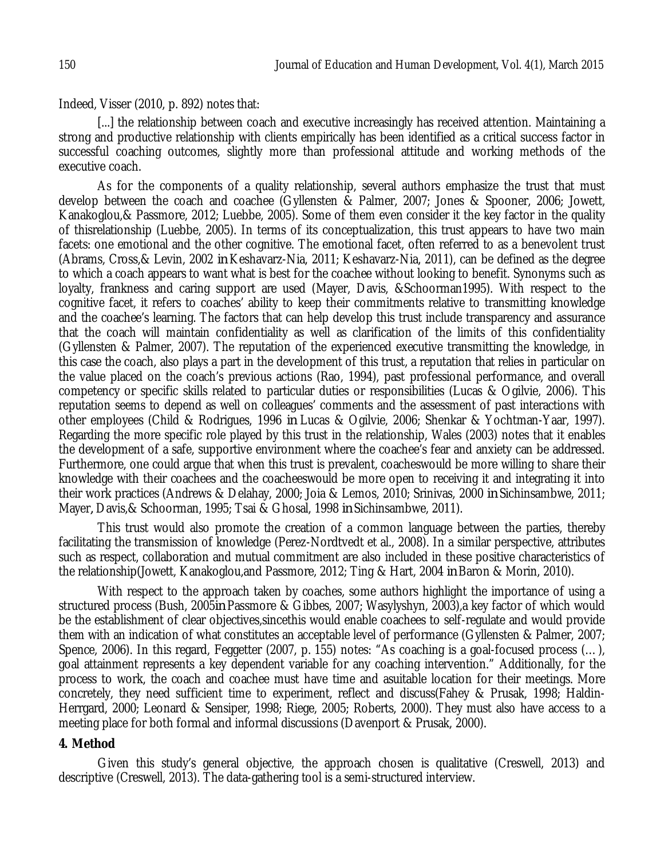Indeed, Visser (2010, p. 892) notes that:

[...] the relationship between coach and executive increasingly has received attention. Maintaining a strong and productive relationship with clients empirically has been identified as a critical success factor in successful coaching outcomes, slightly more than professional attitude and working methods of the executive coach.

As for the components of a quality relationship, several authors emphasize the trust that must develop between the coach and coachee (Gyllensten & Palmer, 2007; Jones & Spooner, 2006; Jowett, Kanakoglou,& Passmore, 2012; Luebbe, 2005). Some of them even consider it the key factor in the quality of thisrelationship (Luebbe, 2005). In terms of its conceptualization, this trust appears to have two main facets: one emotional and the other cognitive. The emotional facet, often referred to as a benevolent trust (Abrams, Cross,& Levin, 2002 *in* Keshavarz-Nia, 2011; Keshavarz-Nia, 2011), can be defined as the degree to which a coach appears to want what is best for the coachee without looking to benefit. Synonyms such as loyalty, frankness and caring support are used (Mayer, Davis, &Schoorman1995). With respect to the cognitive facet, it refers to coaches' ability to keep their commitments relative to transmitting knowledge and the coachee's learning. The factors that can help develop this trust include transparency and assurance that the coach will maintain confidentiality as well as clarification of the limits of this confidentiality (Gyllensten & Palmer, 2007). The reputation of the experienced executive transmitting the knowledge, in this case the coach, also plays a part in the development of this trust, a reputation that relies in particular on the value placed on the coach's previous actions (Rao, 1994), past professional performance, and overall competency or specific skills related to particular duties or responsibilities (Lucas & Ogilvie, 2006). This reputation seems to depend as well on colleagues' comments and the assessment of past interactions with other employees (Child & Rodrigues, 1996 *in* Lucas & Ogilvie, 2006; Shenkar & Yochtman-Yaar, 1997). Regarding the more specific role played by this trust in the relationship, Wales (2003) notes that it enables the development of a safe, supportive environment where the coachee's fear and anxiety can be addressed. Furthermore, one could argue that when this trust is prevalent, coacheswould be more willing to share their knowledge with their coachees and the coacheeswould be more open to receiving it and integrating it into their work practices (Andrews & Delahay, 2000; Joia & Lemos, 2010; Srinivas, 2000 *in* Sichinsambwe, 2011; Mayer*,* Davis,& Schoorman, 1995; Tsai & Ghosal, 1998 *in* Sichinsambwe, 2011).

This trust would also promote the creation of a common language between the parties, thereby facilitating the transmission of knowledge (Perez-Nordtvedt et al., 2008). In a similar perspective, attributes such as respect, collaboration and mutual commitment are also included in these positive characteristics of the relationship(Jowett, Kanakoglou,and Passmore, 2012; Ting & Hart, 2004 *in* Baron & Morin, 2010).

With respect to the approach taken by coaches, some authors highlight the importance of using a structured process (Bush, 2005*in* Passmore & Gibbes, 2007; Wasylyshyn, 2003),a key factor of which would be the establishment of clear objectives,sincethis would enable coachees to self-regulate and would provide them with an indication of what constitutes an acceptable level of performance (Gyllensten & Palmer, 2007; Spence, 2006). In this regard, Feggetter (2007, p. 155) notes: "As coaching is a goal-focused process (…), goal attainment represents a key dependent variable for any coaching intervention." Additionally, for the process to work, the coach and coachee must have time and asuitable location for their meetings. More concretely, they need sufficient time to experiment, reflect and discuss(Fahey & Prusak, 1998; Haldin-Herrgard, 2000; Leonard & Sensiper, 1998; Riege, 2005; Roberts, 2000). They must also have access to a meeting place for both formal and informal discussions (Davenport & Prusak, 2000).

#### **4. Method**

Given this study's general objective, the approach chosen is qualitative (Creswell, 2013) and descriptive (Creswell, 2013). The data-gathering tool is a semi-structured interview.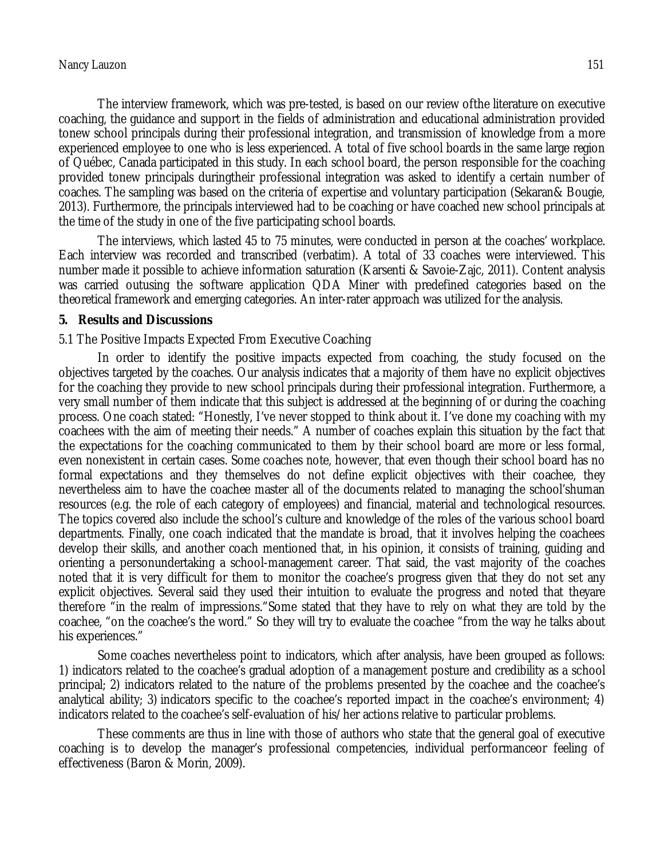The interview framework, which was pre-tested, is based on our review ofthe literature on executive coaching, the guidance and support in the fields of administration and educational administration provided tonew school principals during their professional integration, and transmission of knowledge from a more experienced employee to one who is less experienced. A total of five school boards in the same large region of Québec, Canada participated in this study. In each school board, the person responsible for the coaching provided tonew principals duringtheir professional integration was asked to identify a certain number of coaches. The sampling was based on the criteria of expertise and voluntary participation (Sekaran& Bougie, 2013). Furthermore, the principals interviewed had to be coaching or have coached new school principals at the time of the study in one of the five participating school boards.

The interviews, which lasted 45 to 75 minutes, were conducted in person at the coaches' workplace. Each interview was recorded and transcribed (verbatim). A total of 33 coaches were interviewed. This number made it possible to achieve information saturation (Karsenti & Savoie-Zajc, 2011). Content analysis was carried outusing the software application QDA Miner with predefined categories based on the theoretical framework and emerging categories. An inter-rater approach was utilized for the analysis.

#### **5. Results and Discussions**

#### 5.1 The Positive Impacts Expected From Executive Coaching

In order to identify the positive impacts expected from coaching, the study focused on the objectives targeted by the coaches. Our analysis indicates that a majority of them have no explicit objectives for the coaching they provide to new school principals during their professional integration. Furthermore, a very small number of them indicate that this subject is addressed at the beginning of or during the coaching process. One coach stated: "Honestly, I've never stopped to think about it. I've done my coaching with my coachees with the aim of meeting their needs." A number of coaches explain this situation by the fact that the expectations for the coaching communicated to them by their school board are more or less formal, even nonexistent in certain cases. Some coaches note, however, that even though their school board has no formal expectations and they themselves do not define explicit objectives with their coachee, they nevertheless aim to have the coachee master all of the documents related to managing the school'shuman resources (e.g. the role of each category of employees) and financial, material and technological resources. The topics covered also include the school's culture and knowledge of the roles of the various school board departments. Finally, one coach indicated that the mandate is broad, that it involves helping the coachees develop their skills, and another coach mentioned that, in his opinion, it consists of training, guiding and orienting a personundertaking a school-management career. That said, the vast majority of the coaches noted that it is very difficult for them to monitor the coachee's progress given that they do not set any explicit objectives. Several said they used their intuition to evaluate the progress and noted that theyare therefore "in the realm of impressions."Some stated that they have to rely on what they are told by the coachee, "on the coachee's the word." So they will try to evaluate the coachee "from the way he talks about his experiences."

Some coaches nevertheless point to indicators, which after analysis, have been grouped as follows: 1) indicators related to the coachee's gradual adoption of a management posture and credibility as a school principal; 2) indicators related to the nature of the problems presented by the coachee and the coachee's analytical ability; 3) indicators specific to the coachee's reported impact in the coachee's environment; 4) indicators related to the coachee's self-evaluation of his/her actions relative to particular problems.

These comments are thus in line with those of authors who state that the general goal of executive coaching is to develop the manager's professional competencies, individual performanceor feeling of effectiveness (Baron & Morin, 2009).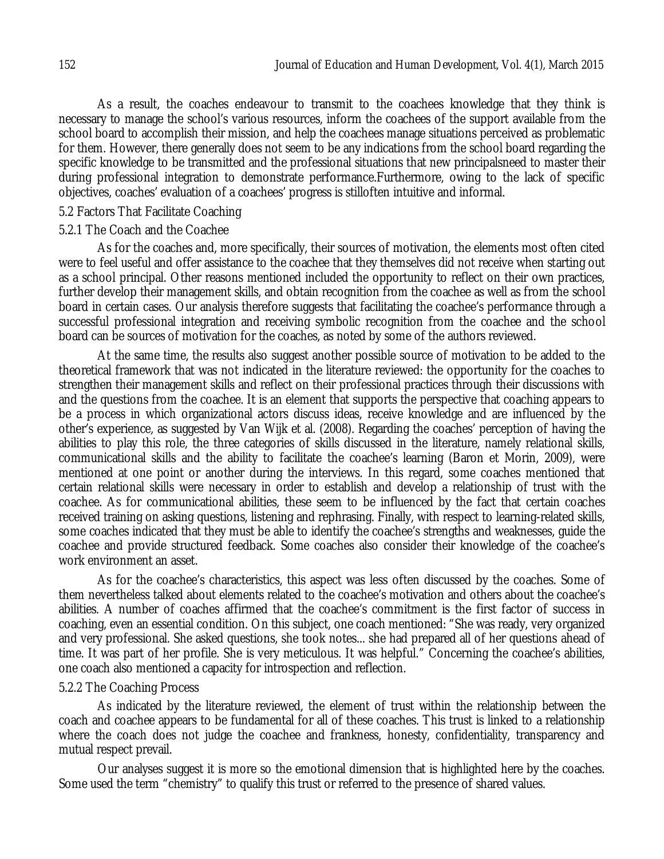As a result, the coaches endeavour to transmit to the coachees knowledge that they think is necessary to manage the school's various resources, inform the coachees of the support available from the school board to accomplish their mission, and help the coachees manage situations perceived as problematic for them. However, there generally does not seem to be any indications from the school board regarding the specific knowledge to be transmitted and the professional situations that new principalsneed to master their during professional integration to demonstrate performance.Furthermore, owing to the lack of specific objectives, coaches' evaluation of a coachees' progress is stilloften intuitive and informal.

### 5.2 Factors That Facilitate Coaching

#### 5.2.1 The Coach and the Coachee

As for the coaches and, more specifically, their sources of motivation, the elements most often cited were to feel useful and offer assistance to the coachee that they themselves did not receive when starting out as a school principal. Other reasons mentioned included the opportunity to reflect on their own practices, further develop their management skills, and obtain recognition from the coachee as well as from the school board in certain cases. Our analysis therefore suggests that facilitating the coachee's performance through a successful professional integration and receiving symbolic recognition from the coachee and the school board can be sources of motivation for the coaches, as noted by some of the authors reviewed.

At the same time, the results also suggest another possible source of motivation to be added to the theoretical framework that was not indicated in the literature reviewed: the opportunity for the coaches to strengthen their management skills and reflect on their professional practices through their discussions with and the questions from the coachee. It is an element that supports the perspective that coaching appears to be a process in which organizational actors discuss ideas, receive knowledge and are influenced by the other's experience, as suggested by Van Wijk et al. (2008). Regarding the coaches' perception of having the abilities to play this role, the three categories of skills discussed in the literature, namely relational skills, communicational skills and the ability to facilitate the coachee's learning (Baron et Morin, 2009), were mentioned at one point or another during the interviews. In this regard, some coaches mentioned that certain relational skills were necessary in order to establish and develop a relationship of trust with the coachee. As for communicational abilities, these seem to be influenced by the fact that certain coaches received training on asking questions, listening and rephrasing. Finally, with respect to learning-related skills, some coaches indicated that they must be able to identify the coachee's strengths and weaknesses, guide the coachee and provide structured feedback. Some coaches also consider their knowledge of the coachee's work environment an asset.

As for the coachee's characteristics, this aspect was less often discussed by the coaches. Some of them nevertheless talked about elements related to the coachee's motivation and others about the coachee's abilities. A number of coaches affirmed that the coachee's commitment is the first factor of success in coaching, even an essential condition. On this subject, one coach mentioned: "She was ready, very organized and very professional. She asked questions, she took notes... she had prepared all of her questions ahead of time. It was part of her profile. She is very meticulous. It was helpful." Concerning the coachee's abilities, one coach also mentioned a capacity for introspection and reflection.

#### 5.2.2 The Coaching Process

As indicated by the literature reviewed, the element of trust within the relationship between the coach and coachee appears to be fundamental for all of these coaches. This trust is linked to a relationship where the coach does not judge the coachee and frankness, honesty, confidentiality, transparency and mutual respect prevail.

Our analyses suggest it is more so the emotional dimension that is highlighted here by the coaches. Some used the term "chemistry" to qualify this trust or referred to the presence of shared values.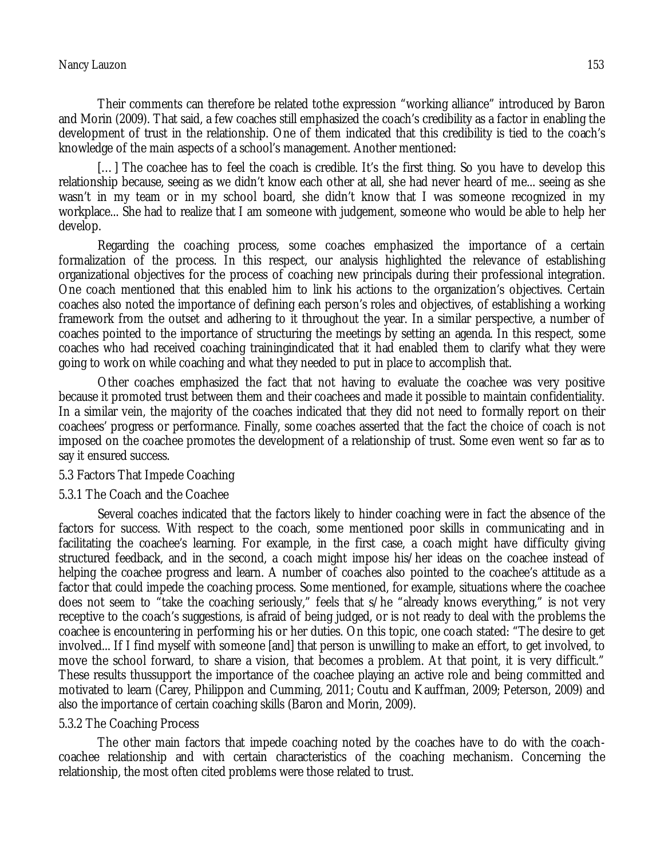#### Nancy Lauzon 153

Their comments can therefore be related tothe expression "working alliance" introduced by Baron and Morin (2009). That said, a few coaches still emphasized the coach's credibility as a factor in enabling the development of trust in the relationship. One of them indicated that this credibility is tied to the coach's knowledge of the main aspects of a school's management. Another mentioned:

[...] The coachee has to feel the coach is credible. It's the first thing. So you have to develop this relationship because, seeing as we didn't know each other at all, she had never heard of me... seeing as she wasn't in my team or in my school board, she didn't know that I was someone recognized in my workplace... She had to realize that I am someone with judgement, someone who would be able to help her develop.

Regarding the coaching process, some coaches emphasized the importance of a certain formalization of the process. In this respect, our analysis highlighted the relevance of establishing organizational objectives for the process of coaching new principals during their professional integration. One coach mentioned that this enabled him to link his actions to the organization's objectives. Certain coaches also noted the importance of defining each person's roles and objectives, of establishing a working framework from the outset and adhering to it throughout the year. In a similar perspective, a number of coaches pointed to the importance of structuring the meetings by setting an agenda. In this respect, some coaches who had received coaching trainingindicated that it had enabled them to clarify what they were going to work on while coaching and what they needed to put in place to accomplish that.

Other coaches emphasized the fact that not having to evaluate the coachee was very positive because it promoted trust between them and their coachees and made it possible to maintain confidentiality. In a similar vein, the majority of the coaches indicated that they did not need to formally report on their coachees' progress or performance. Finally, some coaches asserted that the fact the choice of coach is not imposed on the coachee promotes the development of a relationship of trust. Some even went so far as to say it ensured success.

#### 5.3 Factors That Impede Coaching

#### 5.3.1 The Coach and the Coachee

Several coaches indicated that the factors likely to hinder coaching were in fact the absence of the factors for success. With respect to the coach, some mentioned poor skills in communicating and in facilitating the coachee's learning. For example, in the first case, a coach might have difficulty giving structured feedback, and in the second, a coach might impose his/her ideas on the coachee instead of helping the coachee progress and learn. A number of coaches also pointed to the coachee's attitude as a factor that could impede the coaching process. Some mentioned, for example, situations where the coachee does not seem to "take the coaching seriously," feels that s/he "already knows everything," is not very receptive to the coach's suggestions, is afraid of being judged, or is not ready to deal with the problems the coachee is encountering in performing his or her duties. On this topic, one coach stated: "The desire to get involved... If I find myself with someone [and] that person is unwilling to make an effort, to get involved, to move the school forward, to share a vision, that becomes a problem. At that point, it is very difficult." These results thussupport the importance of the coachee playing an active role and being committed and motivated to learn (Carey, Philippon and Cumming, 2011; Coutu and Kauffman, 2009; Peterson, 2009) and also the importance of certain coaching skills (Baron and Morin, 2009).

#### 5.3.2 The Coaching Process

The other main factors that impede coaching noted by the coaches have to do with the coachcoachee relationship and with certain characteristics of the coaching mechanism. Concerning the relationship, the most often cited problems were those related to trust.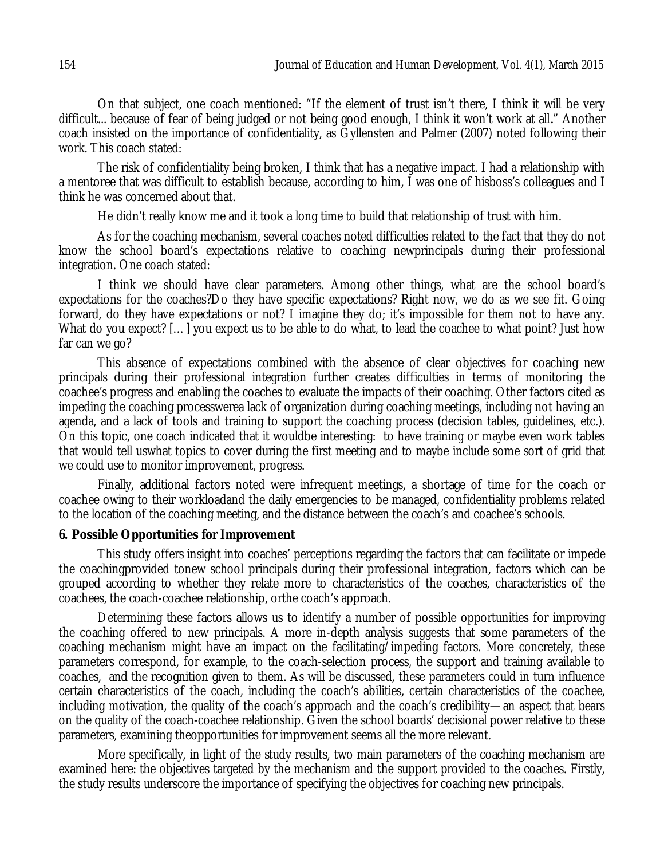On that subject, one coach mentioned: "If the element of trust isn't there, I think it will be very difficult... because of fear of being judged or not being good enough, I think it won't work at all*.*" Another coach insisted on the importance of confidentiality, as Gyllensten and Palmer (2007) noted following their work. This coach stated:

The risk of confidentiality being broken, I think that has a negative impact. I had a relationship with a mentoree that was difficult to establish because, according to him, I was one of hisboss's colleagues and I think he was concerned about that.

He didn't really know me and it took a long time to build that relationship of trust with him.

As for the coaching mechanism, several coaches noted difficulties related to the fact that they do not know the school board's expectations relative to coaching newprincipals during their professional integration. One coach stated:

I think we should have clear parameters. Among other things, what are the school board's expectations for the coaches?Do they have specific expectations? Right now, we do as we see fit. Going forward, do they have expectations or not? I imagine they do; it's impossible for them not to have any. What do you expect? [...] you expect us to be able to do what, to lead the coachee to what point? Just how far can we go?

This absence of expectations combined with the absence of clear objectives for coaching new principals during their professional integration further creates difficulties in terms of monitoring the coachee's progress and enabling the coaches to evaluate the impacts of their coaching. Other factors cited as impeding the coaching processwerea lack of organization during coaching meetings, including not having an agenda, and a lack of tools and training to support the coaching process (decision tables, guidelines, etc.). On this topic, one coach indicated that it wouldbe interesting: to have training or maybe even work tables that would tell uswhat topics to cover during the first meeting and to maybe include some sort of grid that we could use to monitor improvement, progress.

Finally, additional factors noted were infrequent meetings, a shortage of time for the coach or coachee owing to their workloadand the daily emergencies to be managed, confidentiality problems related to the location of the coaching meeting, and the distance between the coach's and coachee's schools.

## **6. Possible Opportunities for Improvement**

This study offers insight into coaches' perceptions regarding the factors that can facilitate or impede the coachingprovided tonew school principals during their professional integration, factors which can be grouped according to whether they relate more to characteristics of the coaches, characteristics of the coachees, the coach-coachee relationship, orthe coach's approach.

Determining these factors allows us to identify a number of possible opportunities for improving the coaching offered to new principals. A more in-depth analysis suggests that some parameters of the coaching mechanism might have an impact on the facilitating/impeding factors. More concretely, these parameters correspond, for example, to the coach-selection process, the support and training available to coaches, and the recognition given to them. As will be discussed, these parameters could in turn influence certain characteristics of the coach, including the coach's abilities, certain characteristics of the coachee, including motivation, the quality of the coach's approach and the coach's credibility—an aspect that bears on the quality of the coach-coachee relationship. Given the school boards' decisional power relative to these parameters, examining theopportunities for improvement seems all the more relevant.

More specifically, in light of the study results, two main parameters of the coaching mechanism are examined here: the objectives targeted by the mechanism and the support provided to the coaches. Firstly, the study results underscore the importance of specifying the objectives for coaching new principals.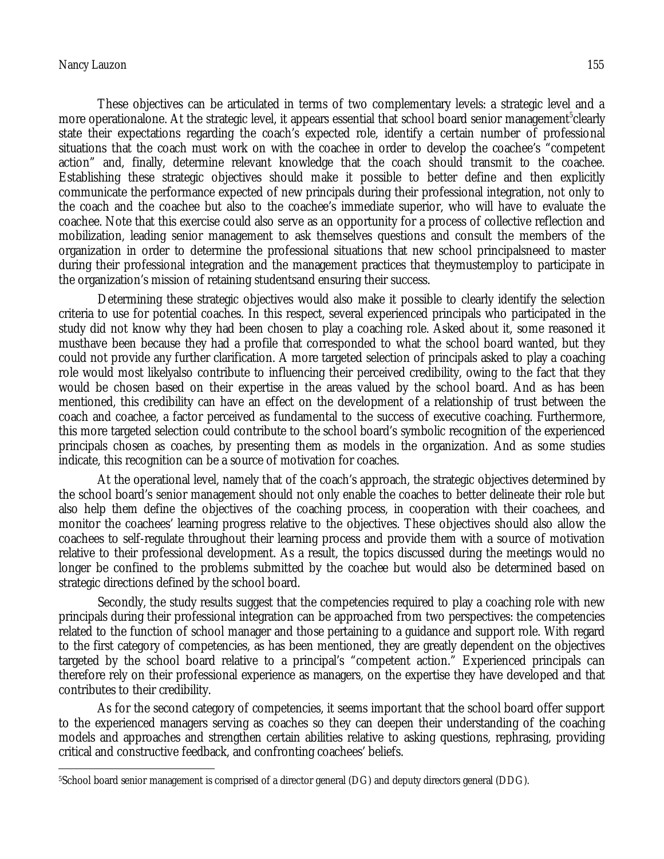#### Nancy Lauzon 155

 $\overline{a}$ 

These objectives can be articulated in terms of two complementary levels: a strategic level and a more operationalone. At the strategic level, it appears essential that school board senior management<sup>s</sup>clearly state their expectations regarding the coach's expected role, identify a certain number of professional situations that the coach must work on with the coachee in order to develop the coachee's "competent action" and, finally, determine relevant knowledge that the coach should transmit to the coachee. Establishing these strategic objectives should make it possible to better define and then explicitly communicate the performance expected of new principals during their professional integration, not only to the coach and the coachee but also to the coachee's immediate superior, who will have to evaluate the coachee. Note that this exercise could also serve as an opportunity for a process of collective reflection and mobilization, leading senior management to ask themselves questions and consult the members of the organization in order to determine the professional situations that new school principalsneed to master during their professional integration and the management practices that theymustemploy to participate in the organization's mission of retaining studentsand ensuring their success.

Determining these strategic objectives would also make it possible to clearly identify the selection criteria to use for potential coaches. In this respect, several experienced principals who participated in the study did not know why they had been chosen to play a coaching role. Asked about it, some reasoned it musthave been because they had a profile that corresponded to what the school board wanted, but they could not provide any further clarification. A more targeted selection of principals asked to play a coaching role would most likelyalso contribute to influencing their perceived credibility, owing to the fact that they would be chosen based on their expertise in the areas valued by the school board. And as has been mentioned, this credibility can have an effect on the development of a relationship of trust between the coach and coachee, a factor perceived as fundamental to the success of executive coaching. Furthermore, this more targeted selection could contribute to the school board's symbolic recognition of the experienced principals chosen as coaches, by presenting them as models in the organization. And as some studies indicate, this recognition can be a source of motivation for coaches.

At the operational level, namely that of the coach's approach, the strategic objectives determined by the school board's senior management should not only enable the coaches to better delineate their role but also help them define the objectives of the coaching process, in cooperation with their coachees, and monitor the coachees' learning progress relative to the objectives. These objectives should also allow the coachees to self-regulate throughout their learning process and provide them with a source of motivation relative to their professional development. As a result, the topics discussed during the meetings would no longer be confined to the problems submitted by the coachee but would also be determined based on strategic directions defined by the school board.

Secondly, the study results suggest that the competencies required to play a coaching role with new principals during their professional integration can be approached from two perspectives: the competencies related to the function of school manager and those pertaining to a guidance and support role. With regard to the first category of competencies, as has been mentioned, they are greatly dependent on the objectives targeted by the school board relative to a principal's "competent action." Experienced principals can therefore rely on their professional experience as managers, on the expertise they have developed and that contributes to their credibility.

As for the second category of competencies, it seems important that the school board offer support to the experienced managers serving as coaches so they can deepen their understanding of the coaching models and approaches and strengthen certain abilities relative to asking questions, rephrasing, providing critical and constructive feedback, and confronting coachees' beliefs.

<sup>5</sup>School board senior management is comprised of a director general (DG) and deputy directors general (DDG).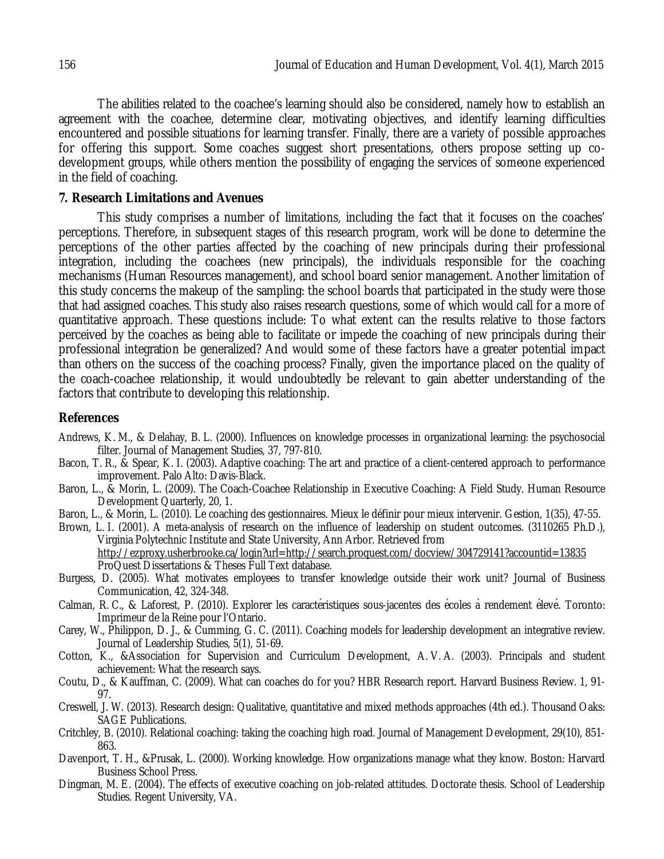The abilities related to the coachee's learning should also be considered, namely how to establish an agreement with the coachee, determine clear, motivating objectives, and identify learning difficulties encountered and possible situations for learning transfer. Finally, there are a variety of possible approaches for offering this support. Some coaches suggest short presentations, others propose setting up codevelopment groups, while others mention the possibility of engaging the services of someone experienced in the field of coaching.

### **7. Research Limitations and Avenues**

This study comprises a number of limitations, including the fact that it focuses on the coaches' perceptions. Therefore, in subsequent stages of this research program, work will be done to determine the perceptions of the other parties affected by the coaching of new principals during their professional integration, including the coachees (new principals), the individuals responsible for the coaching mechanisms (Human Resources management), and school board senior management. Another limitation of this study concerns the makeup of the sampling: the school boards that participated in the study were those that had assigned coaches. This study also raises research questions, some of which would call for a more of quantitative approach. These questions include: To what extent can the results relative to those factors perceived by the coaches as being able to facilitate or impede the coaching of new principals during their professional integration be generalized? And would some of these factors have a greater potential impact than others on the success of the coaching process? Finally, given the importance placed on the quality of the coach-coachee relationship, it would undoubtedly be relevant to gain abetter understanding of the factors that contribute to developing this relationship.

### **References**

- Andrews, K. M., & Delahay, B. L. (2000). Influences on knowledge processes in organizational learning: the psychosocial filter. Journal of Management Studies, 37, 797-810.
- Bacon, T. R., & Spear, K. I. (2003). Adaptive coaching: The art and practice of a client-centered approach to performance improvement. Palo Alto: Davis-Black.
- Baron, L., & Morin, L. (2009). The Coach-Coachee Relationship in Executive Coaching: A Field Study. Human Resource Development Quarterly, 20, 1.
- Baron, L., & Morin, L. (2010). Le coaching des gestionnaires. Mieux le définir pour mieux intervenir. Gestion, 1(35), 47-55.

Brown, L. I. (2001). A meta-analysis of research on the influence of leadership on student outcomes. (3110265 Ph.D.), Virginia Polytechnic Institute and State University, Ann Arbor. Retrieved from http://ezproxy.usherbrooke.ca/login?url=http://search.proquest.com/docview/304729141?accountid=13835 ProQuest Dissertations & Theses Full Text database.

- Burgess, D. (2005). What motivates employees to transfer knowledge outside their work unit? Journal of Business Communication, 42, 324-348.
- Calman, R. C., & Laforest, P. (2010). Explorer les caractéristiques sous-jacentes des écoles à rendement élevé. Toronto: Imprimeur de la Reine pour l'Ontario.
- Carey, W., Philippon, D. J., & Cumming, G. C. (2011). Coaching models for leadership development an integrative review. Journal of Leadership Studies, 5(1), 51-69.
- Cotton, K., &Association for Supervision and Curriculum Development, A. V. A. (2003). Principals and student achievement: What the research says.
- Coutu, D., & Kauffman, C. (2009). What can coaches do for you? HBR Research report. Harvard Business Review. 1, 91- 97.
- Creswell, J. W. (2013). Research design: Qualitative, quantitative and mixed methods approaches (4th ed.). Thousand Oaks: SAGE Publications.
- Critchley, B. (2010). Relational coaching: taking the coaching high road. Journal of Management Development, 29(10), 851- 863.
- Davenport, T. H., &Prusak, L. (2000). Working knowledge. How organizations manage what they know. Boston: Harvard Business School Press.
- Dingman, M. E. (2004). The effects of executive coaching on job-related attitudes. Doctorate thesis. School of Leadership Studies. Regent University, VA.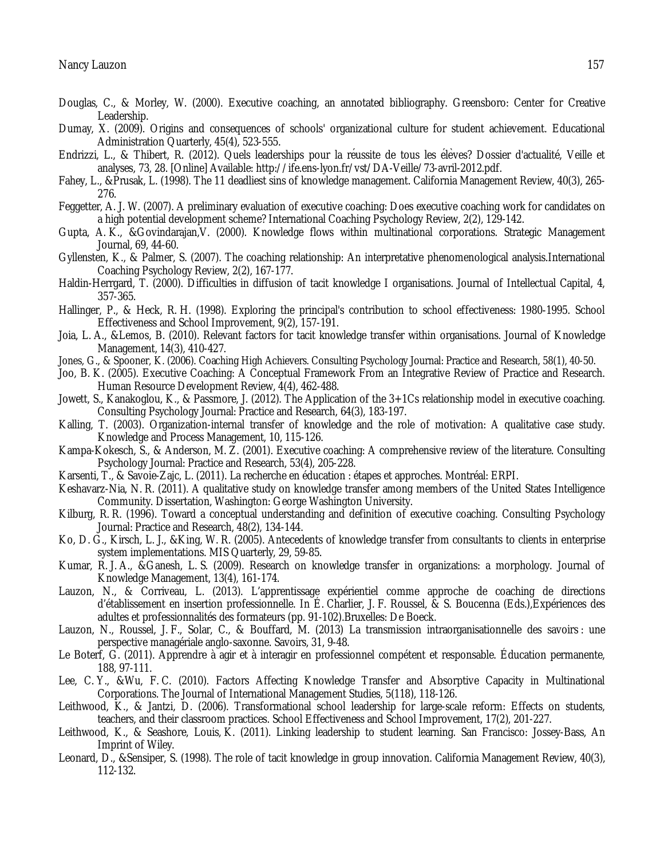- Douglas, C., & Morley, W. (2000). Executive coaching, an annotated bibliography. Greensboro: Center for Creative Leadership.
- Dumay, X. (2009). Origins and consequences of schools' organizational culture for student achievement. Educational Administration Quarterly, 45(4), 523-555.
- Endrizzi, L., & Thibert, R. (2012). Quels leaderships pour la réussite de tous les élèves? Dossier d'actualité, Veille et analyses, 73, 28. [Online] Available: http://ife.ens-lyon.fr/vst/DA-Veille/73-avril-2012.pdf.
- Fahey, L., &Prusak, L. (1998). The 11 deadliest sins of knowledge management. California Management Review, 40(3), 265- 276.
- Feggetter, A. J. W. (2007). A preliminary evaluation of executive coaching: Does executive coaching work for candidates on a high potential development scheme? International Coaching Psychology Review, 2(2), 129-142.
- Gupta, A. K., &Govindarajan,V. (2000). Knowledge flows within multinational corporations. Strategic Management Journal, 69, 44-60.
- Gyllensten, K., & Palmer, S. (2007). The coaching relationship: An interpretative phenomenological analysis.International Coaching Psychology Review, 2(2), 167-177.
- Haldin-Herrgard, T. (2000). Difficulties in diffusion of tacit knowledge I organisations. Journal of Intellectual Capital, 4, 357-365.
- Hallinger, P., & Heck, R. H. (1998). Exploring the principal's contribution to school effectiveness: 1980-1995. School Effectiveness and School Improvement, 9(2), 157-191.
- Joia, L. A., &Lemos, B. (2010). Relevant factors for tacit knowledge transfer within organisations. Journal of Knowledge Management, 14(3), 410-427.
- Jones, G., & Spooner, K. (2006). Coaching High Achievers. Consulting Psychology Journal: Practice and Research, 58(1), 40-50.
- Joo, B. K. (2005). Executive Coaching: A Conceptual Framework From an Integrative Review of Practice and Research. Human Resource Development Review, 4(4), 462-488.
- Jowett, S., Kanakoglou, K., & Passmore, J. (2012). The Application of the 3+1Cs relationship model in executive coaching. Consulting Psychology Journal: Practice and Research, 64(3), 183-197.
- Kalling, T. (2003). Organization-internal transfer of knowledge and the role of motivation: A qualitative case study. Knowledge and Process Management, 10, 115-126.
- Kampa-Kokesch, S., & Anderson, M. Z. (2001). Executive coaching: A comprehensive review of the literature. Consulting Psychology Journal: Practice and Research, 53(4), 205-228.
- Karsenti, T., & Savoie-Zajc, L. (2011). La recherche en éducation : étapes et approches. Montréal: ERPI.
- Keshavarz-Nia, N. R. (2011). A qualitative study on knowledge transfer among members of the United States Intelligence Community. Dissertation, Washington: George Washington University.
- Kilburg, R. R. (1996). Toward a conceptual understanding and definition of executive coaching. Consulting Psychology Journal: Practice and Research, 48(2), 134-144.
- Ko, D. G., Kirsch, L. J., &King, W. R. (2005). Antecedents of knowledge transfer from consultants to clients in enterprise system implementations. MIS Quarterly, 29, 59-85.
- Kumar, R. J. A., &Ganesh, L. S. (2009). Research on knowledge transfer in organizations: a morphology. Journal of Knowledge Management, 13(4), 161-174.
- Lauzon, N., & Corriveau, L. (2013). L'apprentissage expérientiel comme approche de coaching de directions d'établissement en insertion professionnelle. In É. Charlier, J. F. Roussel, & S. Boucenna (Eds.),Expériences des adultes et professionnalités des formateurs (pp. 91-102).Bruxelles: De Boeck.
- Lauzon, N., Roussel, J. F., Solar, C., & Bouffard, M. (2013) La transmission intraorganisationnelle des savoirs : une perspective managériale anglo-saxonne. Savoirs, 31, 9-48.
- Le Boterf, G. (2011). Apprendre à agir et à interagir en professionnel compétent et responsable. Éducation permanente, 188, 97-111.
- Lee, C. Y., &Wu, F. C. (2010). Factors Affecting Knowledge Transfer and Absorptive Capacity in Multinational Corporations. The Journal of International Management Studies, 5(118), 118-126.
- Leithwood, K., & Jantzi, D. (2006). Transformational school leadership for large-scale reform: Effects on students, teachers, and their classroom practices. School Effectiveness and School Improvement, 17(2), 201-227.
- Leithwood, K., & Seashore, Louis, K. (2011). Linking leadership to student learning. San Francisco: Jossey-Bass, An Imprint of Wiley.
- Leonard, D., &Sensiper, S. (1998). The role of tacit knowledge in group innovation. California Management Review, 40(3), 112-132.